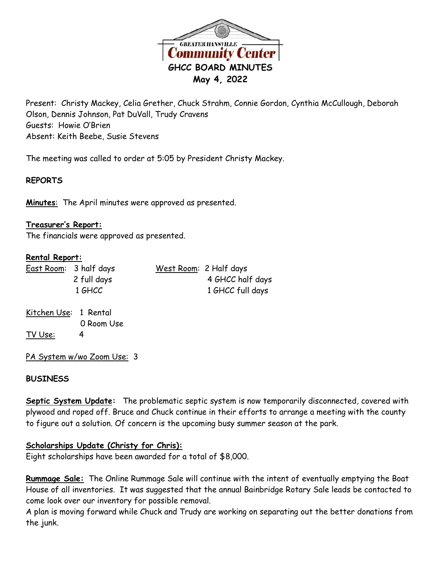

Present: Christy Mackey, Celia Grether, Chuck Strahm, Connie Gordon, Cynthia McCullough, Deborah Olson, Dennis Johnson, Pat DuVall, Trudy Cravens Guests: Howie O'Brien Absent: Keith Beebe, Susie Stevens

The meeting was called to order at 5:05 by President Christy Mackey.

# **REPORTS**

**Minutes**: The April minutes were approved as presented.

### **Treasurer's Report:**

The financials were approved as presented.

### **Rental Report:**

|  | East Room: 3 half days | West Room: 2 Half days |
|--|------------------------|------------------------|
|  | 2 full days            | 4 GHCC half days       |
|  | 1 GHCC                 | 1 GHCC full days       |
|  |                        |                        |

Kitchen Use: 1 Rental 0 Room Use TV Use: 4

PA System w/wo Zoom Use: 3

## **BUSINESS**

**Septic System Update:** The problematic septic system is now temporarily disconnected, covered with plywood and roped off. Bruce and Chuck continue in their efforts to arrange a meeting with the county to figure out a solution. Of concern is the upcoming busy summer season at the park.

## **Scholarships Update (Christy for Chris):**

Eight scholarships have been awarded for a total of \$8,000.

**Rummage Sale:** The Online Rummage Sale will continue with the intent of eventually emptying the Boat House of all inventories. It was suggested that the annual Bainbridge Rotary Sale leads be contacted to come look over our inventory for possible removal.

A plan is moving forward while Chuck and Trudy are working on separating out the better donations from the junk.